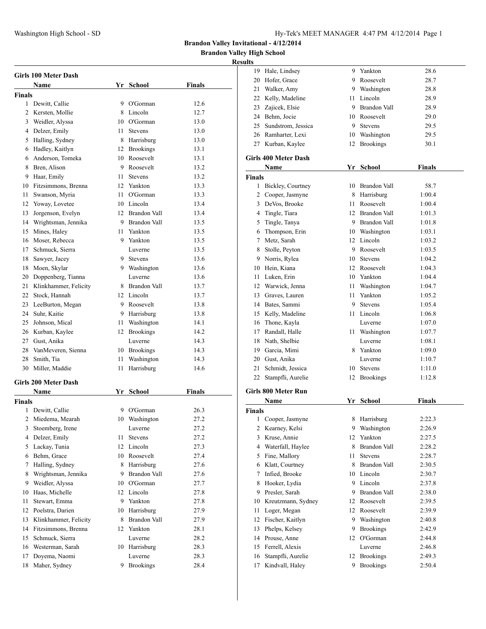**Brandon Valley High School**

|                | Girls 100 Meter Dash         |      |                          |        |
|----------------|------------------------------|------|--------------------------|--------|
|                | Name                         |      | Yr School                | Finals |
| <b>Finals</b>  |                              |      |                          |        |
| 1              | Dewitt, Callie               |      | 9 O'Gorman               | 12.6   |
| $\overline{2}$ | Kersten, Mollie              |      | 8 Lincoln                | 12.7   |
|                | 3 Weidler, Alyssa            |      | 10 O'Gorman              | 13.0   |
|                | 4 Delzer, Emily              |      | 11 Stevens               | 13.0   |
| 5              | Halling, Sydney              |      | 8 Harrisburg             | 13.0   |
|                | 6 Hadley, Kaitlyn            |      | 12 Brookings             | 13.1   |
|                | 6 Anderson, Tomeka           |      | 10 Roosevelt             | 13.1   |
| 8              | Bren, Alison                 |      | 9 Roosevelt              | 13.2   |
| 9              | Haar, Emily                  | 11 - | <b>Stevens</b>           | 13.2   |
| 10             | Fitzsimmons, Brenna          |      | 12 Yankton               | 13.3   |
| 11             | Swanson, Myria               |      | 11 O'Gorman              | 13.3   |
|                | 12 Yoway, Lovetee            |      | 10 Lincoln               | 13.4   |
| 13             | Jorgenson, Evelyn            |      | 12 Brandon Vall          | 13.4   |
|                | 14 Wrightsman, Jennika       |      | 9 Brandon Vall           | 13.5   |
| 15             | Mines, Haley                 |      | 11 Yankton               | 13.5   |
|                | 16 Moser, Rebecca            |      | 9 Yankton                | 13.5   |
| 17             | Schmuck, Sierra              |      | Luverne                  | 13.5   |
| 18             | Sawyer, Jacey                |      | 9 Stevens                | 13.6   |
| 18             | Moen, Skylar                 |      | 9 Washington             | 13.6   |
|                | 20 Doppenberg, Tianna        |      | Luverne                  | 13.6   |
| 21             | Klinkhammer, Felicity        |      | 8 Brandon Vall           | 13.7   |
|                | 22 Stock, Hannah             |      | 12 Lincoln               | 13.7   |
| 23             | LeeBurton, Megan             |      | 9 Roosevelt              | 13.8   |
|                | 24 Suhr, Kaitie              |      | 9 Harrisburg             | 13.8   |
|                | 25 Johnson, Mical            |      | 11 Washington            | 14.1   |
|                | 26 Kurban, Kaylee            |      | 12 Brookings             | 14.2   |
|                | 27 Gust, Anika               |      | Luverne                  | 14.3   |
|                | 28 VanMeveren, Sienna        |      | 10 Brookings             | 14.3   |
| 28             |                              | 11   |                          | 14.3   |
| 30             | Smith, Tia<br>Miller, Maddie | 11   | Washington<br>Harrisburg | 14.6   |
|                |                              |      |                          |        |
|                | Girls 200 Meter Dash         |      |                          |        |
|                | <b>Name</b>                  |      | Yr School                | Finals |
| <b>Finals</b>  |                              |      |                          |        |
| 1              | Dewitt, Callie               | 9    | O'Gorman                 | 26.3   |
| $\overline{2}$ | Miedema, Mearah              |      | 10 Washington            | 27.2   |
| 3              | Stoemberg, Irene             |      | Luverne                  | 27.2   |
| 4              | Delzer, Emily                | 11   | Stevens                  | 27.2   |
| 5              | Lackay, Tunia                | 12   | Lincoln                  | 27.3   |
| 6              | Behm, Grace                  |      | 10 Roosevelt             | 27.4   |
| 7              | Halling, Sydney              | 8    | Harrisburg               | 27.6   |
| 8              | Wrightsman, Jennika          | 9.   | Brandon Vall             | 27.6   |
| 9              | Weidler, Alyssa              |      | 10 O'Gorman              | 27.7   |
| 10             | Haas, Michelle               |      | 12 Lincoln               | 27.8   |
| 11             | Stewart, Emma                | 9    | Yankton                  | 27.8   |
| 12             | Poelstra, Darien             |      | 10 Harrisburg            | 27.9   |
| 13             | Klinkhammer, Felicity        | 8    | <b>Brandon Vall</b>      | 27.9   |
| 14             | Fitzsimmons, Brenna          | 12   | Yankton                  | 28.1   |
| 15             | Schmuck, Sierra              |      | Luverne                  | 28.2   |
|                | 16 Westerman, Sarah          | 10   | Harrisburg               | 28.3   |
| 17             | Doyema, Naomi                |      | Luverne                  | 28.3   |
| 18             | Maher, Sydney                | 9    | <b>Brookings</b>         | 28.4   |

|               | 19 Hale, Lindsey            | 9  | Yankton             | 28.6          |
|---------------|-----------------------------|----|---------------------|---------------|
|               | 20 Hofer, Grace             |    | 9 Roosevelt         | 28.7          |
|               | 21 Walker, Amy              |    | 9 Washington        | 28.8          |
|               | 22 Kelly, Madeline          |    | 11 Lincoln          | 28.9          |
|               | 23 Zajicek, Elsie           |    | 9 Brandon Vall      | 28.9          |
|               | 24 Behm, Jocie              |    | 10 Roosevelt        | 29.0          |
|               | 25 Sundstrom, Jessica       |    | 9 Stevens           | 29.5          |
|               | 26 Ramharter, Lexi          |    | 10 Washington       | 29.5          |
|               | 27 Kurban, Kaylee           |    | 12 Brookings        | 30.1          |
|               | <b>Girls 400 Meter Dash</b> |    |                     |               |
|               | Name                        |    | Yr School           | <b>Finals</b> |
| Finals        |                             |    |                     |               |
|               | 1 Bickley, Courtney         |    | 10 Brandon Vall     | 58.7          |
|               | 2 Cooper, Jasmyne           |    | 8 Harrisburg        | 1:00.4        |
|               | 3 DeVos, Brooke             |    | 11 Roosevelt        | 1:00.4        |
|               | 4 Tingle, Tiara             |    | 12 Brandon Vall     | 1:01.3        |
|               | 5 Tingle, Tanya             |    | 9 Brandon Vall      | 1:01.8        |
|               | 6 Thompson, Erin            |    | 10 Washington       | 1:03.1        |
|               | 7 Metz, Sarah               |    | 12 Lincoln          | 1:03.2        |
|               | 8 Stolle, Peyton            |    | 9 Roosevelt         | 1:03.5        |
|               | 9 Norris, Rylea             |    | 10 Stevens          | 1:04.2        |
|               | 10 Hein, Kiana              |    | 12 Roosevelt        | 1:04.3        |
|               | 11 Luken, Erin              |    | 10 Yankton          | 1:04.4        |
|               | 12 Warwick, Jenna           |    | 11 Washington       | 1:04.7        |
|               | 13 Graves, Lauren           | 11 | Yankton             | 1:05.2        |
|               | 14 Bates, Sammi             |    | 9 Stevens           | 1:05.4        |
|               |                             |    | 11 Lincoln          |               |
|               | 15 Kelly, Madeline          |    |                     | 1:06.8        |
|               | 16 Thone, Kayla             |    | Luverne             | 1:07.0        |
|               | 17 Randall, Halle           |    | 11 Washington       | 1:07.7        |
|               | 18 Nath, Shelbie            |    | Luverne             | 1:08.1        |
|               | 19 Garcia, Mimi             |    | 8 Yankton           | 1:09.0        |
|               | 20 Gust, Anika              |    | Luverne             | 1:10.7        |
|               | 21 Schmidt, Jessica         |    | 10 Stevens          | 1:11.0        |
| 22            | Stampfli, Aurelie           |    | 12 Brookings        | 1:12.8        |
|               | <b>Girls 800 Meter Run</b>  |    |                     |               |
|               | Name                        |    | Yr School           | <b>Finals</b> |
| <b>Finals</b> |                             |    |                     |               |
| 1             | Cooper, Jasmyne             | 8  | Harrisburg          | 2:22.3        |
| 2             | Kearney, Kelsi              |    | 9 Washington        | 2:26.9        |
|               | 3 Kruse, Annie              |    | 12 Yankton          | 2:27.5        |
|               | 4 Waterfall, Haylee         | 8  | Brandon Vall        | 2:28.2        |
|               | 5 Fine, Mallory             | 11 | <b>Stevens</b>      | 2:28.7        |
|               | 6 Klatt, Courtney           |    | 8 Brandon Vall      | 2:30.5        |
| 7             | Infied, Brooke              |    | 10 Lincoln          | 2:30.7        |
| 8             | Hooker, Lydia               |    | 9 Lincoln           | 2:37.8        |
| 9             | Presler, Sarah              | 9  | <b>Brandon Vall</b> | 2:38.0        |
| 10            | Kreutzmann, Sydney          | 12 | Roosevelt           | 2:39.5        |
| 11            | Loger, Megan                | 12 | Roosevelt           | 2:39.9        |
| 12            | Fischer, Kaitlyn            | 9  | Washington          | 2:40.8        |
| 13            | Phelps, Kelsey              | 9  | <b>Brookings</b>    | 2:42.9        |
|               | 14 Prouse, Anne             | 12 | O'Gorman            | 2:44.8        |
| 15            | Ferrell, Alexis             |    | Luverne             | 2:46.8        |
| 16            | Stampfli, Aurelie           |    | 12 Brookings        | 2:49.3        |
| 17            | Kindvall, Haley             | 9  | <b>Brookings</b>    | 2:50.4        |
|               |                             |    |                     |               |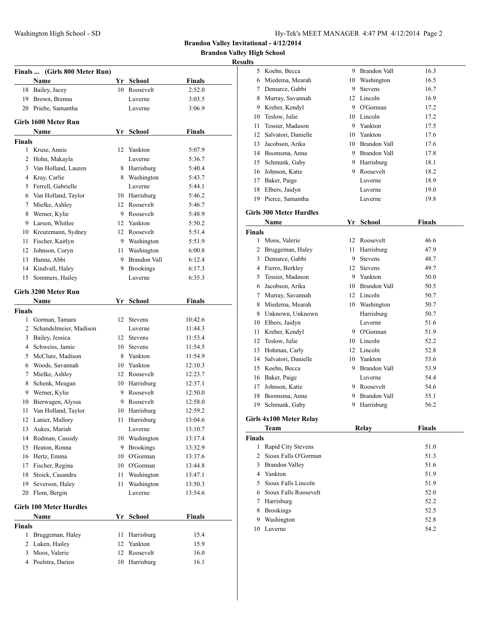**Brandon Valley High School**

#### **Results**

|                | Finals  (Girls 800 Meter Run)  |    |                     |               |
|----------------|--------------------------------|----|---------------------|---------------|
|                | Name                           |    | Yr School           | <b>Finals</b> |
| 18             | Bailey, Jacey                  | 10 | Roosevelt           | 2:52.0        |
| 19             | Brown, Brenna                  |    | Luverne             | 3:03.5        |
| 20             | Priebe, Samantha               |    | Luverne             | 3:06.9        |
|                | Girls 1600 Meter Run           |    |                     |               |
|                | Name                           | Yr | <b>School</b>       | Finals        |
| <b>Finals</b>  |                                |    |                     |               |
| 1              | Kruse, Annie                   | 12 | Yankton             | 5:07.9        |
| 2              | Hohn, Makayla                  |    | Luverne             | 5:36.7        |
| 3              | Van Holland, Lauren            |    | 8 Harrisburg        | 5:40.4        |
|                | 4 Kray, Carlie                 |    | 8 Washington        | 5:43.7        |
|                | 5 Ferrell, Gabrielle           |    | Luverne             | 5:44.1        |
|                | 6 Van Holland, Taylor          |    | 10 Harrisburg       | 5:46.2        |
| 7              | Mielke, Ashley                 |    | 12 Roosevelt        | 5:46.7        |
| 8              | Werner, Kylie                  | 9. | Roosevelt           | 5:48.9        |
| 9              | Larson, Whitlee                | 12 | Yankton             | 5:50.2        |
| 10             | Kreutzmann, Sydney             |    | 12 Roosevelt        | 5:51.4        |
| 11             | Fischer, Kaitlyn               |    | 9 Washington        | 5:51.9        |
| 12             | Johnson, Coryn                 | 11 | Washington          | 6:00.8        |
| 13             | Hanna, Abbi                    | 9  | <b>Brandon Vall</b> | 6:12.4        |
| 14             | Kindvall, Haley                | 9. | <b>Brookings</b>    | 6:17.3        |
| 15             | Sommers, Hailey                |    | Luverne             | 6:35.3        |
|                |                                |    |                     |               |
|                | Girls 3200 Meter Run<br>Name   | Yr | School              | <b>Finals</b> |
| Finals         |                                |    |                     |               |
|                | 1 Gorman, Tamara               | 12 | <b>Stevens</b>      | 10:42.6       |
|                | 2 Schandelmeier, Madison       |    | Luverne             | 11:44.3       |
| 3              | Bailey, Jessica                | 12 | Stevens             | 11:53.4       |
| 4              | Schweiss, Jamie                | 10 | <b>Stevens</b>      | 11:54.5       |
| 5              | McClure, Madison               | 8  | Yankton             | 11:54.9       |
| 6              | Woods, Savannah                | 10 | Yankton             | 12:10.3       |
| 7              | Mielke, Ashley                 |    | 12 Roosevelt        | 12:23.7       |
| 8              | Schenk, Meagan                 |    | 10 Harrisburg       | 12:37.1       |
|                | 9 Werner, Kylie                |    | 9 Roosevelt         | 12:50.0       |
| 10             | Bierwagen, Alyssa              | 9  | Roosevelt           | 12:58.0       |
| 11             | Van Holland, Taylor            |    | 10 Harrisburg       | 12:59.2       |
|                | 12 Lanier, Mallory             | 11 | Harrisburg          | 13:04.6       |
| 13             | Aukes, Mariah                  |    | Luverne             | 13:10.7       |
| 14             | Rodman, Cassidy                | 10 | Washington          | 13:17.4       |
| 15             | Heaton, Ronna                  | 9. | <b>Brookings</b>    | 13:32.9       |
| 16             | Hertz, Emma                    | 10 | O'Gorman            | 13:37.6       |
| 17             | Fischer, Regina                |    | 10 O'Gorman         | 13:44.8       |
| 18             | Stoick, Casandra               | 11 | Washington          | 13:47.1       |
| 19             | Severson, Haley                | 11 | Washington          | 13:50.3       |
| 20             | Flom, Bergin                   |    | Luverne             | 13:54.6       |
|                |                                |    |                     |               |
|                | <b>Girls 100 Meter Hurdles</b> |    |                     |               |
| <b>Finals</b>  | Name                           | Yr | <b>School</b>       | <b>Finals</b> |
| 1              | Bruggeman, Haley               | 11 | Harrisburg          | 15.4          |
| $\overline{c}$ | Luken, Hailey                  | 12 | Yankton             | 15.9          |
| 3              | Moos, Valerie                  | 12 | Roosevelt           | 16.0          |
|                | 4 Poelstra, Darien             | 10 | Harrisburg          | 16.1          |
|                |                                |    |                     |               |

| S  |                     |    |                     |      |  |
|----|---------------------|----|---------------------|------|--|
| 5  | Koehn, Becca        | 9  | <b>Brandon Vall</b> | 16.3 |  |
| 6  | Miedema, Mearah     | 10 | Washington          | 16.5 |  |
| 7  | Demarce, Gabbi      | 9  | <b>Stevens</b>      | 16.7 |  |
| 8  | Murray, Savannah    |    | 12 Lincoln          | 16.9 |  |
| 9  | Kreber, Kendyl      | 9  | O'Gorman            | 17.2 |  |
| 10 | Teslow, Julie       | 10 | Lincoln             | 17.2 |  |
| 11 | Tessier, Madason    | 9  | Yankton             | 17.5 |  |
| 12 | Salvatori, Danielle | 10 | Yankton             | 17.6 |  |
| 13 | Jacobson, Arika     | 10 | Brandon Vall        | 17.6 |  |
| 14 | Boomsma, Anna       | 9  | <b>Brandon Vall</b> | 17.8 |  |
| 15 | Schmunk, Gaby       | 9  | Harrisburg          | 18.1 |  |
| 16 | Johnson, Katie      | 9  | Roosevelt           | 18.2 |  |
| 17 | Baker, Paige        |    | Luverne             | 18.9 |  |
| 18 | Elbers, Jaidyn      |    | Luverne             | 19.0 |  |
| 19 | Pierce, Samantha    |    | Luverne             | 19.8 |  |

# **Girls 300 Meter Hurdles**

| Name                |    | School              | Finals |
|---------------------|----|---------------------|--------|
| <b>Finals</b>       |    |                     |        |
| Moos, Valerie       | 12 | Roosevelt           | 46.6   |
| Bruggeman, Haley    | 11 | Harrisburg          | 47.9   |
| Demarce, Gabbi      | 9  | <b>Stevens</b>      | 48.7   |
| Fierro, Berkley     | 12 | <b>Stevens</b>      | 49.7   |
| Tessier, Madason    | 9  | Yankton             | 50.0   |
| Jacobson, Arika     | 10 | <b>Brandon Vall</b> | 50.5   |
| Murray, Savannah    | 12 | Lincoln             | 50.7   |
| Miedema, Mearah     | 10 | Washington          | 50.7   |
| Unknown, Unknown    |    | Harrisburg          | 50.7   |
| Elbers, Jaidyn      |    | Luverne             | 51.6   |
| Kreber, Kendyl      | 9  | O'Gorman            | 51.9   |
| Teslow, Julie       | 10 | Lincoln             | 52.2   |
| Hohman, Carly       | 12 | Lincoln             | 52.8   |
| Salvatori, Danielle | 10 | Yankton             | 53.6   |
| Koehn, Becca        | 9  | <b>Brandon Vall</b> | 53.9   |
| Baker, Paige        |    | Luverne             | 54.4   |
| Johnson, Katie      | 9  | Roosevelt           | 54.6   |
| Boomsma, Anna       | 9  | Brandon Vall        | 55.1   |
| Schmunk, Gaby       | 9  | Harrisburg          | 56.2   |
|                     |    |                     | Yr     |

#### **Girls 4x100 Meter Relay**

| Team                        | Relay | <b>Finals</b> |  |
|-----------------------------|-------|---------------|--|
| <b>Finals</b>               |       |               |  |
| Rapid City Stevens          |       | 51.0          |  |
| 2 Sioux Falls O'Gorman      |       | 51.3          |  |
| Brandon Valley              |       | 51.6          |  |
| Yankton                     |       | 51.9          |  |
| Sioux Falls Lincoln<br>5.   |       | 51.9          |  |
| Sioux Falls Roosevelt<br>6. |       | 52.0          |  |
| Harrisburg                  |       | 52.2          |  |
| <b>Brookings</b>            |       | 52.5          |  |
| Washington                  |       | 52.8          |  |
| Luverne                     |       | 54.2          |  |
|                             |       |               |  |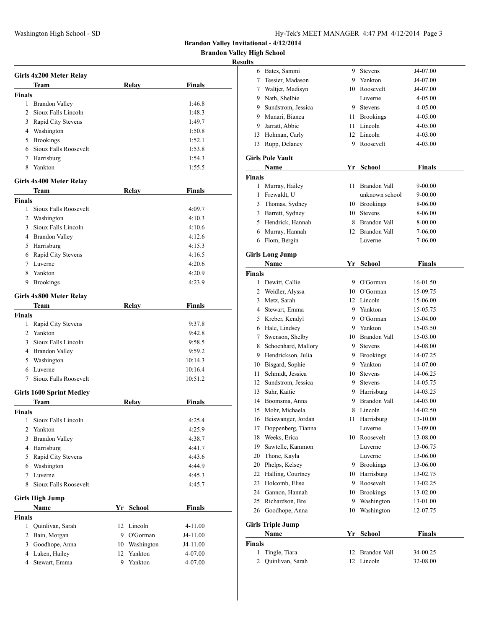**Brandon Valley High School**

|               | Girls 4x200 Meter Relay         |               |               |
|---------------|---------------------------------|---------------|---------------|
|               | Team                            | Relay         | Finals        |
| Finals        |                                 |               |               |
|               | 1 Brandon Valley                |               | 1:46.8        |
| 2             | Sioux Falls Lincoln             |               | 1:48.3        |
|               | 3 Rapid City Stevens            |               | 1:49.7        |
|               | 4 Washington                    |               | 1:50.8        |
|               | 5 Brookings                     |               | 1:52.1        |
|               | 6 Sioux Falls Roosevelt         |               | 1:53.8        |
|               | 7 Harrisburg                    |               | 1:54.3        |
| 8             | Yankton                         |               | 1:55.5        |
|               | Girls 4x400 Meter Relay         |               |               |
|               | Team                            | Relay         | Finals        |
| Finals        |                                 |               |               |
|               | 1 Sioux Falls Roosevelt         |               | 4:09.7        |
|               | 2 Washington                    |               | 4:10.3        |
|               | 3 Sioux Falls Lincoln           |               | 4:10.6        |
|               | 4 Brandon Valley                |               | 4:12.6        |
|               | 5 Harrisburg                    |               | 4:15.3        |
|               | 6 Rapid City Stevens            |               | 4:16.5        |
|               | 7 Luverne                       |               | 4:20.6        |
| 8             | Yankton                         |               | 4:20.9        |
| 9             | <b>Brookings</b>                |               | 4:23.9        |
|               | Girls 4x800 Meter Relay         |               |               |
|               | Team                            | Relay         | Finals        |
| Finals        |                                 |               |               |
|               | 1 Rapid City Stevens            |               | 9:37.8        |
|               | 2 Yankton                       |               | 9:42.8        |
|               | 3 Sioux Falls Lincoln           |               | 9:58.5        |
|               | 4 Brandon Valley                |               | 9:59.2        |
|               | 5 Washington                    |               | 10:14.3       |
|               | 6 Luverne                       |               | 10:16.4       |
| 7             | Sioux Falls Roosevelt           |               | 10:51.2       |
|               | <b>Girls 1600 Sprint Medley</b> |               |               |
|               | Team                            | Relay         | Finals        |
| Finals        |                                 |               |               |
| 1             | Sioux Falls Lincoln             |               | 4:25.4        |
| 2             | Yankton                         |               | 4:25.9        |
| 3             | <b>Brandon Valley</b>           |               | 4:38.7        |
| 4             | Harrisburg                      |               | 4:41.7        |
| 5             | Rapid City Stevens              |               | 4:43.6        |
|               | 6 Washington                    |               | 4:44.9        |
| 7             | Luverne                         |               | 4:45.3        |
| 8             | Sioux Falls Roosevelt           |               | 4:45.7        |
|               | <b>Girls High Jump</b>          |               |               |
|               | Name                            | Yr School     | <b>Finals</b> |
| <b>Finals</b> |                                 |               |               |
| 1             | Quinlivan, Sarah                | 12 Lincoln    | 4-11.00       |
|               | 2 Bain, Morgan                  | 9 O'Gorman    | J4-11.00      |
|               | 3 Goodhope, Anna                | 10 Washington | J4-11.00      |
|               | 4 Luken, Hailey                 | 12 Yankton    | 4-07.00       |
|               | 4 Stewart, Emma                 | 9 Yankton     | 4-07.00       |

| 6      | Bates, Sammi             | 9  | Stevens         | J4-07.00      |  |
|--------|--------------------------|----|-----------------|---------------|--|
| 7      | Tessier, Madason         | 9. | Yankton         | J4-07.00      |  |
| 7      | Waltjer, Madisyn         | 10 | Roosevelt       | J4-07.00      |  |
|        | 9 Nath, Shelbie          |    | Luverne         | 4-05.00       |  |
|        | 9 Sundstrom, Jessica     | 9  | Stevens         | 4-05.00       |  |
|        | 9 Munari, Bianca         |    | 11 Brookings    | 4-05.00       |  |
| 9      | Jarratt, Abbie           | 11 | Lincoln         | 4-05.00       |  |
| 13     | Hohman, Carly            |    | 12 Lincoln      | 4-03.00       |  |
| 13     | Rupp, Delaney            | 9  | Roosevelt       | 4-03.00       |  |
|        | <b>Girls Pole Vault</b>  |    |                 |               |  |
|        | Name                     |    | Yr School       | Finals        |  |
| Finals |                          |    |                 |               |  |
| 1      | Murray, Hailey           | 11 | Brandon Vall    | 9-00.00       |  |
| 1      | Frewaldt, U              |    | unknown school  | 9-00.00       |  |
| 3      | Thomas, Sydney           |    | 10 Brookings    | 8-06.00       |  |
|        | 3 Barrett, Sydney        | 10 | <b>Stevens</b>  | 8-06.00       |  |
|        | 5 Hendrick, Hannah       | 8  | Brandon Vall    | 8-00.00       |  |
| 6      | Murray, Hannah           |    | 12 Brandon Vall | 7-06.00       |  |
| 6      | Flom, Bergin             |    | Luverne         | 7-06.00       |  |
|        |                          |    |                 |               |  |
|        | <b>Girls Long Jump</b>   |    |                 |               |  |
|        | Name                     |    | Yr School       | Finals        |  |
| Finals |                          |    |                 |               |  |
| 1      | Dewitt, Callie           |    | 9 O'Gorman      | 16-01.50      |  |
| 2      | Weidler, Alyssa          |    | 10 O'Gorman     | 15-09.75      |  |
| 3      | Metz, Sarah              |    | 12 Lincoln      | 15-06.00      |  |
| 4      | Stewart, Emma            |    | 9 Yankton       | 15-05.75      |  |
| 5      | Kreber, Kendyl           |    | 9 O'Gorman      | 15-04.00      |  |
| 6      | Hale, Lindsey            |    | 9 Yankton       | 15-03.50      |  |
| 7      | Swenson, Shelby          |    | 10 Brandon Vall | 15-03.00      |  |
| 8      | Schoenhard, Mallory      | 9. | <b>Stevens</b>  | 14-08.00      |  |
| 9      | Hendrickson, Julia       |    | 9 Brookings     | 14-07.25      |  |
| 10     | Bisgard, Sophie          |    | 9 Yankton       | 14-07.00      |  |
| 11     | Schmidt, Jessica         |    | 10 Stevens      | 14-06.25      |  |
| 12     | Sundstrom, Jessica       | 9  | Stevens         | 14-05.75      |  |
| 13     | Suhr, Kaitie             |    | 9 Harrisburg    | 14-03.25      |  |
| 14     | Boomsma, Anna            |    | 9 Brandon Vall  | 14-03.00      |  |
| 15     | Mohr, Michaela           | 8  | Lincoln         | 14-02.50      |  |
| 16     | Beiswanger, Jordan       |    | 11 Harrisburg   | 13-10.00      |  |
| 17     | Doppenberg, Tianna       |    | Luverne         | 13-09.00      |  |
| 18     | Weeks, Erica             | 10 | Roosevelt       | 13-08.00      |  |
| 19     | Sawtelle, Kammon         |    | Luverne         | 13-06.75      |  |
| 20     | Thone, Kayla             |    | Luverne         | 13-06.00      |  |
| 20     | Phelps, Kelsey           |    | 9 Brookings     | 13-06.00      |  |
| 22     | Halling, Courtney        |    | 10 Harrisburg   | 13-02.75      |  |
| 23     | Holcomb, Elise           | 9  | Roosevelt       | 13-02.25      |  |
| 24     | Gannon, Hannah           |    | 10 Brookings    | 13-02.00      |  |
| 25     | Richardson, Bre          | 9. | Washington      | 13-01.00      |  |
| 26     | Goodhope, Anna           | 10 | Washington      | 12-07.75      |  |
|        | <b>Girls Triple Jump</b> |    |                 |               |  |
|        | Name                     | Yr | <b>School</b>   | <b>Finals</b> |  |
| Finals |                          |    |                 |               |  |
| 1      | Tingle, Tiara            | 12 | Brandon Vall    | 34-00.25      |  |
| 2      | Quinlivan, Sarah         | 12 | Lincoln         | 32-08.00      |  |
|        |                          |    |                 |               |  |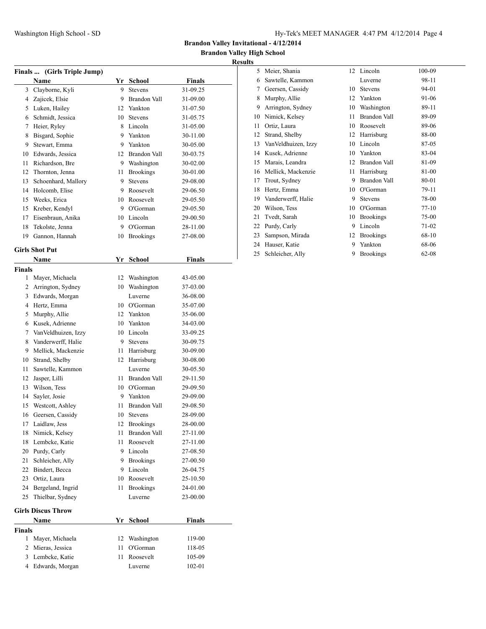**Brandon Valley High School**

|               | Finals  (Girls Triple Jump) |    |                     |               |
|---------------|-----------------------------|----|---------------------|---------------|
|               | Name                        |    | Yr School           | Finals        |
| 3             | Clayborne, Kyli             | 9  | <b>Stevens</b>      | 31-09.25      |
|               | 4 Zajicek, Elsie            | 9  | Brandon Vall        | 31-09.00      |
|               | 5 Luken, Hailey             |    | 12 Yankton          | 31-07.50      |
|               | 6 Schmidt, Jessica          | 10 | <b>Stevens</b>      | 31-05.75      |
| 7             | Heier, Ryley                | 8  | Lincoln             | 31-05.00      |
| 8             | Bisgard, Sophie             | 9  | Yankton             | 30-11.00      |
| 9             | Stewart, Emma               |    | 9 Yankton           | 30-05.00      |
|               | 10 Edwards, Jessica         |    | 12 Brandon Vall     | 30-03.75      |
| 11            | Richardson, Bre             |    | 9 Washington        | 30-02.00      |
| 12            | Thornton, Jenna             | 11 | <b>Brookings</b>    | 30-01.00      |
| 13            | Schoenhard, Mallory         | 9  | <b>Stevens</b>      | 29-08.00      |
| 14            | Holcomb, Elise              | 9  | Roosevelt           | 29-06.50      |
| 15            | Weeks, Erica                |    | 10 Roosevelt        | 29-05.50      |
| 15            | Kreber, Kendyl              |    | 9 O'Gorman          | 29-05.50      |
| 17            | Eisenbraun, Anika           |    | 10 Lincoln          | 29-00.50      |
| 18            | Tekolste, Jenna             | 9  | O'Gorman            | 28-11.00      |
| 19            | Gannon, Hannah              | 10 | <b>Brookings</b>    | 27-08.00      |
|               |                             |    |                     |               |
|               | <b>Girls Shot Put</b>       |    |                     |               |
|               | <b>Name</b>                 |    | Yr School           | <b>Finals</b> |
| <b>Finals</b> |                             |    |                     |               |
| 1             | Mayer, Michaela             | 12 | Washington          | 43-05.00      |
| 2             | Arrington, Sydney           | 10 | Washington          | 37-03.00      |
|               | 3 Edwards, Morgan           |    | Luverne             | 36-08.00      |
| 4             | Hertz, Emma                 |    | 10 O'Gorman         | 35-07.00      |
| 5             | Murphy, Allie               |    | 12 Yankton          | 35-06.00      |
|               | 6 Kusek, Adrienne           |    | 10 Yankton          | 34-03.00      |
| 7             | Van Veldhuizen, Izzy        |    | 10 Lincoln          | 33-09.25      |
| 8             | Vanderwerff, Halie          | 9  | <b>Stevens</b>      | 30-09.75      |
| 9             | Mellick, Mackenzie          |    | 11 Harrisburg       | 30-09.00      |
| 10            | Strand, Shelby              |    | 12 Harrisburg       | 30-08.00      |
| 11            | Sawtelle, Kammon            |    | Luverne             | 30-05.50      |
| 12            | Jasper, Lilli               | 11 | <b>Brandon Vall</b> | 29-11.50      |
| 13            | Wilson, Tess                |    | 10 O'Gorman         | 29-09.50      |
| 14            | Sayler, Josie               | 9  | Yankton             | 29-09.00      |
| 15            | Westcott, Ashley            | 11 | Brandon Vall        | 29-08.50      |
| 16            | Geersen, Cassidy            | 10 | <b>Stevens</b>      | 28-09.00      |
| $17\,$        | Laidlaw, Jess               | 12 | Brookings           | 28-00.00      |
| 18            | Nimick, Kelsey              | 11 | Brandon Vall        | 27-11.00      |
| 18            | Lembcke, Katie              | 11 | Roosevelt           | 27-11.00      |
| 20            | Purdy, Carly                | 9. | Lincoln             | 27-08.50      |
| 21            | Schleicher, Ally            | 9  | <b>Brookings</b>    | 27-00.50      |
| 22            | Bindert, Becca              | 9  | Lincoln             | 26-04.75      |
| 23            | Ortiz, Laura                | 10 | Roosevelt           | 25-10.50      |
| 24            | Bergeland, Ingrid           | 11 | <b>Brookings</b>    | 24-01.00      |
| 25            | Thielbar, Sydney            |    | Luverne             | 23-00.00      |
|               |                             |    |                     |               |
|               | <b>Girls Discus Throw</b>   |    |                     |               |
|               | Name                        |    | Yr School           | <b>Finals</b> |
| <b>Finals</b> |                             |    |                     |               |
| 1             | Mayer, Michaela             | 12 | Washington          | 119-00        |
| 2             | Mieras, Jessica             | 11 | O'Gorman            | 118-05        |
|               | 3 Lembcke, Katie            | 11 | Roosevelt           | 105-09        |
| 4             | Edwards, Morgan             |    | Luverne             | 102-01        |
|               |                             |    |                     |               |

| ∘  |                      |    |                  |           |
|----|----------------------|----|------------------|-----------|
| 5  | Meier, Shania        | 12 | Lincoln          | 100-09    |
| 6  | Sawtelle, Kammon     |    | Luverne          | 98-11     |
| 7  | Geersen, Cassidy     | 10 | <b>Stevens</b>   | 94-01     |
| 8  | Murphy, Allie        | 12 | Yankton          | 91-06     |
| 9  | Arrington, Sydney    | 10 | Washington       | 89-11     |
| 10 | Nimick, Kelsey       | 11 | Brandon Vall     | 89-09     |
| 11 | Ortiz, Laura         | 10 | Roosevelt        | 89-06     |
| 12 | Strand, Shelby       | 12 | Harrisburg       | 88-00     |
| 13 | Van Veldhuizen, Izzy | 10 | Lincoln          | 87-05     |
| 14 | Kusek, Adrienne      | 10 | Yankton          | 83-04     |
| 15 | Marais, Leandra      | 12 | Brandon Vall     | 81-09     |
| 16 | Mellick, Mackenzie   | 11 | Harrisburg       | 81-00     |
| 17 | Trout, Sydney        | 9  | Brandon Vall     | 80-01     |
| 18 | Hertz, Emma          | 10 | O'Gorman         | 79-11     |
| 19 | Vanderwerff, Halie   | 9  | <b>Stevens</b>   | 78-00     |
| 20 | Wilson, Tess         | 10 | O'Gorman         | $77 - 10$ |
| 21 | Tvedt, Sarah         | 10 | <b>Brookings</b> | 75-00     |
| 22 | Purdy, Carly         | 9  | Lincoln          | 71-02     |
| 23 | Sampson, Mirada      | 12 | <b>Brookings</b> | 68-10     |
| 24 | Hauser, Katie        | 9  | Yankton          | 68-06     |
| 25 | Schleicher, Ally     | 9  | <b>Brookings</b> | $62 - 08$ |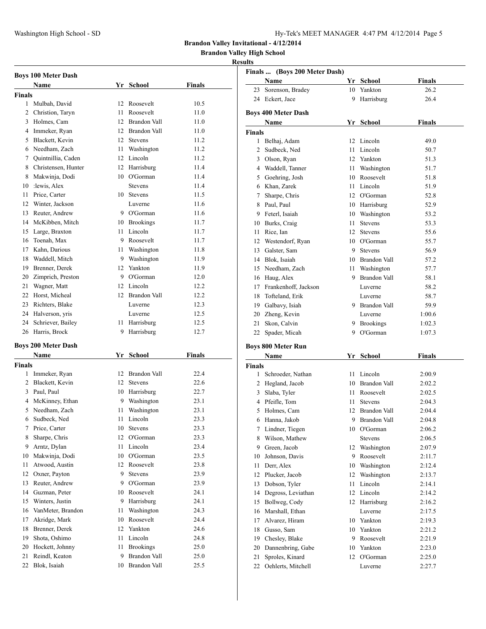**Brandon Valley High School**

## **Results**

|               | <b>Boys 100 Meter Dash</b> |                 |                  |        |  |  |  |
|---------------|----------------------------|-----------------|------------------|--------|--|--|--|
|               | Name                       |                 | Yr School        | Finals |  |  |  |
| <b>Finals</b> |                            |                 |                  |        |  |  |  |
| $\mathbf{1}$  | Mulbah, David              | 12              | Roosevelt        | 10.5   |  |  |  |
|               | 2 Christion, Taryn         | 11              | Roosevelt        | 11.0   |  |  |  |
|               | 3 Holmes, Cam              |                 | 12 Brandon Vall  | 11.0   |  |  |  |
|               | 4 Immeker, Ryan            |                 | 12 Brandon Vall  | 11.0   |  |  |  |
|               | 5 Blackett, Kevin          | 12              | <b>Stevens</b>   | 11.2   |  |  |  |
|               | 6 Needham, Zach            | 11 -            | Washington       | 11.2   |  |  |  |
|               | 7 Quintnillia, Caden       | 12              | Lincoln          | 11.2   |  |  |  |
|               | 8 Christensen, Hunter      | 12              | Harrisburg       | 11.4   |  |  |  |
|               | 8 Makwinja, Dodi           |                 | 10 O'Gorman      | 11.4   |  |  |  |
|               | 10 :lewis, Alex            |                 | <b>Stevens</b>   | 11.4   |  |  |  |
|               | 11 Price, Carter           | 10              | <b>Stevens</b>   | 11.5   |  |  |  |
|               | 12 Winter, Jackson         |                 | Luverne          | 11.6   |  |  |  |
|               | 13 Reuter, Andrew          |                 | 9 O'Gorman       | 11.6   |  |  |  |
|               | 14 McKibben, Mitch         |                 | 10 Brookings     | 11.7   |  |  |  |
|               | 15 Large, Braxton          |                 | 11 Lincoln       | 11.7   |  |  |  |
|               | 16 Toenah, Max             |                 | 9 Roosevelt      | 11.7   |  |  |  |
|               | 17 Kahn, Darious           |                 | 11 Washington    | 11.8   |  |  |  |
|               | 18 Waddell, Mitch          |                 | 9 Washington     | 11.9   |  |  |  |
|               | 19 Brenner, Derek          | 12 <sup>7</sup> | Yankton          | 11.9   |  |  |  |
|               | 20 Zimprich, Preston       |                 | 9 O'Gorman       | 12.0   |  |  |  |
|               | 21 Wagner, Matt            |                 | 12 Lincoln       | 12.2   |  |  |  |
|               | 22 Horst, Micheal          |                 | 12 Brandon Vall  | 12.2   |  |  |  |
|               | 23 Richters, Blake         |                 | Luverne          | 12.3   |  |  |  |
|               | 24 Halverson, yris         |                 | Luverne          | 12.5   |  |  |  |
|               | 24 Schriever, Bailey       |                 | 11 Harrisburg    | 12.5   |  |  |  |
| 26            | Harris, Brock              | 9.              | Harrisburg       | 12.7   |  |  |  |
|               |                            |                 |                  |        |  |  |  |
|               | <b>Boys 200 Meter Dash</b> |                 |                  |        |  |  |  |
|               | Name                       | Yr              | <b>School</b>    | Finals |  |  |  |
| <b>Finals</b> |                            |                 |                  |        |  |  |  |
|               | 1 Immeker, Ryan            |                 | 12 Brandon Vall  | 22.4   |  |  |  |
|               | 2 Blackett, Kevin          | 12              | <b>Stevens</b>   | 22.6   |  |  |  |
|               | 3 Paul, Paul               |                 | 10 Harrisburg    | 22.7   |  |  |  |
|               | 4 McKinney, Ethan          |                 | 9 Washington     | 23.1   |  |  |  |
|               | 5 Needham, Zach            | 11              | Washington       | 23.1   |  |  |  |
| 6             | Sudbeck, Ned               | 11              | Lincoln          | 23.3   |  |  |  |
| 7             | Price, Carter              | 10              | <b>Stevens</b>   | 23.3   |  |  |  |
| 8             | Sharpe, Chris              | 12              | O'Gorman         | 23.3   |  |  |  |
| 9             | Arntz, Dylan               | 11              | Lincoln          | 23.4   |  |  |  |
| 10            | Makwinja, Dodi             |                 | 10 O'Gorman      | 23.5   |  |  |  |
| 11            | Atwood, Austin             | 12              | Roosevelt        | 23.8   |  |  |  |
| 12            | Oxner, Payton              | 9               | <b>Stevens</b>   | 23.9   |  |  |  |
| 13            | Reuter, Andrew             | 9               | O'Gorman         | 23.9   |  |  |  |
| 14            | Guzman, Peter              | 10              | Roosevelt        | 24.1   |  |  |  |
| 15            | Winters, Justin            | 9               | Harrisburg       | 24.1   |  |  |  |
| 16            | VanMeter, Brandon          | 11              | Washington       | 24.3   |  |  |  |
| 17            | Akridge, Mark              | 10              | Roosevelt        | 24.4   |  |  |  |
| 18            | Brenner, Derek             | 12              | Yankton          | 24.6   |  |  |  |
| 19            | Shota, Oshimo              | 11              | Lincoln          | 24.8   |  |  |  |
| 20            | Hockett, Johnny            | 11              | <b>Brookings</b> | 25.0   |  |  |  |
| 21            | Reindl, Keaton             | 9.              | Brandon Vall     | 25.0   |  |  |  |
| 22            | Blok, Isaiah               |                 | 10 Brandon Vall  | 25.5   |  |  |  |

|               | Finals  (Boys 200 Meter Dash) |         |                     |               |
|---------------|-------------------------------|---------|---------------------|---------------|
|               | Name                          |         | Yr School           | <b>Finals</b> |
| 23            | Sorenson, Bradey              | 10      | Yankton             | 26.2          |
|               | 24 Eckert, Jace               | 9.      | Harrisburg          | 26.4          |
|               |                               |         |                     |               |
|               | <b>Boys 400 Meter Dash</b>    |         |                     |               |
|               | Name                          |         | Yr School           | <b>Finals</b> |
| <b>Finals</b> |                               |         |                     |               |
|               | 1 Belhaj, Adam                | 12      | Lincoln             | 49.0          |
| 2             | Sudbeck, Ned                  | 11      | Lincoln             | 50.7          |
|               | 3 Olson, Ryan                 | 12      | Yankton             | 51.3          |
|               | 4 Waddell, Tanner             | 11 -    | Washington          | 51.7          |
|               | 5 Goehring, Josh              |         | 10 Roosevelt        | 51.8          |
|               | 6 Khan, Zarek                 | 11.     | Lincoln             | 51.9          |
| 7             | Sharpe, Chris                 |         | 12 O'Gorman         | 52.8          |
| 8             | Paul, Paul                    |         | 10 Harrisburg       | 52.9          |
|               | 9 Feterl, Isaiah              |         | 10 Washington       | 53.2          |
|               | 10 Burks, Craig               | 11      | <b>Stevens</b>      | 53.3          |
| 11            | Rice, Ian                     | $12-12$ | <b>Stevens</b>      | 55.6          |
|               | 12 Westendorf, Ryan           | 10      | O'Gorman            | 55.7          |
|               | 13 Galster, Sam               |         | 9 Stevens           | 56.9          |
|               | 14 Blok, Isaiah               |         | 10 Brandon Vall     | 57.2          |
|               | 15 Needham, Zach              |         | 11 Washington       | 57.7          |
|               | 16 Haug, Alex                 |         | 9 Brandon Vall      | 58.1          |
|               | 17 Frankenhoff, Jackson       |         | Luverne             | 58.2          |
|               | 18 Tofteland, Erik            |         | Luverne             | 58.7          |
|               | 19 Galbavy, Isiah             |         | 9 Brandon Vall      | 59.9          |
|               | 20 Zheng, Kevin               |         | Luverne             | 1:00.6        |
| 21            | Skon, Calvin                  |         | 9 Brookings         | 1:02.3        |
| 22            | Spader, Micah                 |         | 9 O'Gorman          | 1:07.3        |
|               |                               |         |                     |               |
|               | <b>Boys 800 Meter Run</b>     |         |                     |               |
|               | Name                          | Yr      | School              | <b>Finals</b> |
| <b>Finals</b> |                               |         |                     |               |
|               | 1 Schroeder, Nathan           | 11      | Lincoln             | 2:00.9        |
|               | 2 Hegland, Jacob              |         | 10 Brandon Vall     | 2:02.2        |
|               | 3 Slaba, Tyler                | 11 -    | Roosevelt           | 2:02.5        |
|               | 4 Pfeifle, Tom                | 11 -    | <b>Stevens</b>      | 2:04.3        |
| 5             | Holmes, Cam                   | 12      | <b>Brandon Vall</b> | 2:04.4        |
| 6             | Hanna, Jakob                  | 9       | <b>Brandon Vall</b> | 2:04.8        |
| 7             | Lindner, Tiegen               | 10      | O'Gorman            | 2:06.2        |
| 8             | Wilson, Mathew                |         | Stevens             | 2:06.5        |
|               | 9 Green, Jacob                |         | 12 Washington       | 2:07.9        |
| 10            | Johnson, Davis                | 9       | Roosevelt           | 2:11.7        |
| 11            | Derr, Alex                    |         | 10 Washington       | 2:12.4        |
| 12            | Plucker, Jacob                | 12      | Washington          | 2:13.7        |
| 13            | Dobson, Tyler                 | 11      | Lincoln             | 2:14.1        |
| 14            | Degross, Leviathan            | 12      | Lincoln             | 2:14.2        |
| 15            | Bollweg, Cody                 | 12      | Harrisburg          | 2:16.2        |
| 16            | Marshall, Ethan               |         | Luverne             | 2:17.5        |
| 17            | Alvarez, Hiram                | 10      | Yankton             | 2:19.3        |
| 18            | Gusso, Sam                    |         | 10 Yankton          | 2:21.2        |
| 19            | Chesley, Blake                |         | 9 Roosevelt         | 2:21.9        |
| 20            | Dannenbring, Gabe             | 10      | Yankton             | 2:23.0        |
| 21            | Sproles, Kinard               | 12      | O'Gorman            | 2:25.0        |

22 Oehlerts, Mitchell Luverne 2:27.7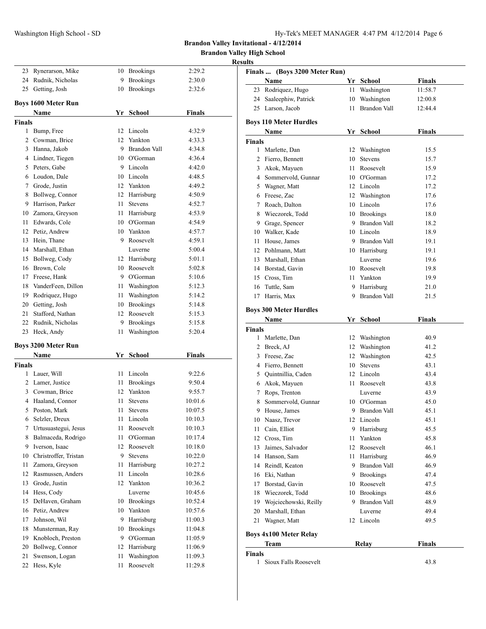**Brandon Valley High School**

|               |                                  |      |                       | ŀ             |
|---------------|----------------------------------|------|-----------------------|---------------|
| 23            | Rynerarson, Mike                 |      | 10 Brookings          | 2:29.2        |
| 24            | Rudnik, Nicholas                 | 9    | Brookings             | 2:30.0        |
| 25            | Getting, Josh                    | 10   | <b>Brookings</b>      | 2:32.6        |
|               |                                  |      |                       |               |
|               | <b>Boys 1600 Meter Run</b>       |      |                       |               |
|               | Name                             | Yr   | <b>School</b>         | <b>Finals</b> |
| <b>Finals</b> |                                  |      |                       |               |
|               | 1 Bump, Free                     | 12   | Lincoln<br>12 Yankton | 4:32.9        |
|               | 2 Cowman, Brice                  |      | 9 Brandon Vall        | 4:33.3        |
|               | 3 Hanna, Jakob                   |      |                       | 4:34.8        |
|               | 4 Lindner, Tiegen                |      | 10 O'Gorman           | 4:36.4        |
|               | 5 Peters, Gabe<br>6 Loudon, Dale |      | 9 Lincoln             | 4:42.0        |
|               |                                  |      | 10 Lincoln            | 4:48.5        |
|               | 7 Grode, Justin                  |      | 12 Yankton            | 4:49.2        |
| 8             | Bollweg, Connor                  |      | 12 Harrisburg         | 4:50.9        |
| 9             | Harrison, Parker                 | 11   | <b>Stevens</b>        | 4:52.7        |
| 10            | Zamora, Greyson                  | 11   | Harrisburg            | 4:53.9        |
| 11            | Edwards, Cole                    |      | 10 O'Gorman           | 4:54.9        |
|               | 12 Petiz, Andrew                 |      | 10 Yankton            | 4:57.7        |
| 13            | Hein, Thane                      |      | 9 Roosevelt           | 4:59.1        |
| 14            | Marshall. Ethan                  |      | Luverne               | 5:00.4        |
| 15            | Bollweg, Cody                    |      | 12 Harrisburg         | 5:01.1        |
| 16            | Brown, Cole                      |      | 10 Roosevelt          | 5:02.8        |
| 17            | Freese, Hank                     |      | 9 O'Gorman            | 5:10.6        |
| 18            | VanderFeen, Dillon               | 11 - | Washington            | 5:12.3        |
| 19            | Rodriquez, Hugo                  | 11 - | Washington            | 5:14.2        |
| 20            | Getting, Josh                    |      | 10 Brookings          | 5:14.8        |
| 21            | Stafford, Nathan                 |      | 12 Roosevelt          | 5:15.3        |
|               | 22 Rudnik, Nicholas              | 9    | <b>Brookings</b>      | 5:15.8        |
| 23            | Heck, Andy                       | 11   | Washington            | 5:20.4        |
|               | <b>Boys 3200 Meter Run</b>       |      |                       |               |
|               | Name                             |      | Yr School             | <b>Finals</b> |
| <b>Finals</b> |                                  |      |                       |               |
|               | 1 Lauer, Will                    | 11   | Lincoln               | 9:22.6        |
|               | 2 Lamer, Justice                 | 11   | <b>Brookings</b>      | 9:50.4        |
|               | 3 Cowman, Brice                  | 12   | Yankton               | 9:55.7        |
|               | 4 Haaland, Connor                | 11   | <b>Stevens</b>        | 10:01.6       |
| 5             | Poston, Mark                     | 11   | <b>Stevens</b>        | 10:07.5       |
| 6             | Selzler, Dreux                   | 11   | Lincoln               | 10:10.3       |
| 7             | Urtusuastegui, Jesus             | 11   | Roosevelt             | 10:10.3       |
| 8             | Balmaceda, Rodrigo               | 11   | O'Gorman              | 10:17.4       |
| 9             | Iverson, Isaac                   | 12   | Roosevelt             | 10:18.0       |
| 10            | Christroffer, Tristan            | 9    | Stevens               | 10:22.0       |
| 11            | Zamora, Greyson                  | 11   | Harrisburg            | 10:27.2       |
| 12            | Rasmussen, Anders                | 11   | Lincoln               | 10:28.6       |
| 13            | Grode, Justin                    | 12   | Yankton               | 10:36.2       |
| 14            | Hess, Cody                       |      | Luverne               | 10:45.6       |
| 15            | DeHaven, Graham                  | 10   | <b>Brookings</b>      | 10:52.4       |
| 16            | Petiz, Andrew                    | 10   | Yankton               | 10:57.6       |
| 17            | Johnson, Wil                     | 9    | Harrisburg            | 11:00.3       |
| 18            | Munsterman, Ray                  | 10   | <b>Brookings</b>      | 11:04.8       |
| 19            | Knobloch, Preston                | 9    | O'Gorman              | 11:05.9       |
| 20            | Bollweg, Connor                  | 12   | Harrisburg            | 11:06.9       |
| 21            | Swenson, Logan                   | 11   | Washington            | 11:09.3       |
| 22            | Hess, Kyle                       | 11   | Roosevelt             | 11:29.8       |
|               |                                  |      |                       |               |

| Finals  (Boys 3200 Meter Run) |                                       |      |                     |               |
|-------------------------------|---------------------------------------|------|---------------------|---------------|
|                               | Name                                  |      | Yr School           | <b>Finals</b> |
| 23                            | Rodriquez, Hugo                       | 11 - | Washington          | 11:58.7       |
|                               | 24 Saaleephiw, Patrick                |      | 10 Washington       | 12:00.8       |
|                               | 25 Larson, Jacob                      | 11 - | <b>Brandon Vall</b> | 12:44.4       |
|                               | <b>Boys 110 Meter Hurdles</b>         |      |                     |               |
|                               | Name                                  |      | Yr School           | Finals        |
| <b>Finals</b>                 |                                       |      |                     |               |
|                               | 1 Marlette, Dan                       |      | 12 Washington       | 15.5          |
|                               | 2 Fierro, Bennett                     | 10   | Stevens             | 15.7          |
|                               | 3 Akok, Mayuen                        |      | 11 Roosevelt        | 15.9          |
|                               | 4 Sommervold, Gunnar                  |      | 10 O'Gorman         | 17.2          |
|                               | 5 Wagner, Matt                        |      | 12 Lincoln          | 17.2          |
|                               | 6 Freese, Zac                         |      | 12 Washington       | 17.6          |
| 7                             | Roach, Dalton                         |      | 10 Lincoln          | 17.6          |
|                               | 8 Wieczorek, Todd                     |      | 10 Brookings        | 18.0          |
|                               | 9 Grage, Spencer                      |      | 9 Brandon Vall      | 18.2          |
|                               | 10 Walker, Kade                       |      | 10 Lincoln          | 18.9          |
| 11                            | House, James                          |      | 9 Brandon Vall      | 19.1          |
|                               | 12 Pohlmann, Matt                     |      | 10 Harrisburg       | 19.1          |
|                               | 13 Marshall, Ethan                    |      | Luverne             | 19.6          |
|                               | 14 Borstad, Gavin                     |      | 10 Roosevelt        | 19.8          |
|                               | 15 Cross, Tim                         |      | 11 Yankton          | 19.9          |
|                               | 16 Tuttle, Sam                        |      | 9 Harrisburg        | 21.0          |
| 17                            | Harris, Max                           | 9.   | <b>Brandon Vall</b> | 21.5          |
|                               |                                       |      |                     |               |
|                               | <b>Boys 300 Meter Hurdles</b>         |      |                     |               |
|                               | Name                                  |      | Yr School           | <b>Finals</b> |
| Finals                        |                                       |      |                     |               |
| $\mathbf{1}$                  | Marlette, Dan                         |      | 12 Washington       | 40.9          |
|                               | 2 Breck, AJ                           |      | 12 Washington       | 41.2          |
|                               | 3 Freese, Zac                         |      | 12 Washington       | 42.5          |
|                               | 4 Fierro, Bennett                     | 10   | <b>Stevens</b>      | 43.1          |
|                               | 5 Quintnillia, Caden                  |      | 12 Lincoln          | 43.4          |
|                               | 6 Akok, Mayuen                        |      | 11 Roosevelt        | 43.8          |
|                               | 7 Rops, Trenton                       |      | Luverne             | 43.9          |
|                               | 8 Sommervold, Gunnar                  |      | 10 O'Gorman         | 45.0          |
| 9.                            | House, James                          |      | 9 Brandon Vall      | 45.1          |
|                               | 10 Naasz, Trevor                      |      | 12 Lincoln          | 45.1          |
| 11 -                          | Cain, Elliot                          |      | 9 Harrisburg        | 45.5          |
| 12                            | Cross, Tim                            | 11   | Yankton             | 45.8          |
| 13                            | Jaimes, Salvador                      | 12   | Roosevelt           | 46.1          |
| 14                            | Hanson, Sam                           | 11 - | Harrisburg          | 46.9          |
| 14                            | Reindl, Keaton                        |      | 9 Brandon Vall      | 46.9          |
|                               | 16 Eki, Nathan                        |      | 9 Brookings         | 47.4          |
| 17                            | Borstad, Gavin                        |      | 10 Roosevelt        | 47.5          |
| 18                            | Wieczorek, Todd                       |      | 10 Brookings        | 48.6          |
| 19                            | Wojciechowski, Reilly                 |      | 9 Brandon Vall      | 48.9          |
| 20                            | Marshall, Ethan                       |      | Luverne             | 49.4          |
| 21                            | Wagner, Matt                          |      | 12 Lincoln          | 49.5          |
|                               |                                       |      |                     |               |
|                               | <b>Boys 4x100 Meter Relay</b><br>Team |      | <b>Relay</b>        | <b>Finals</b> |
| <b>Finals</b>                 |                                       |      |                     |               |
| $\mathbf{1}$                  | Sioux Falls Roosevelt                 |      |                     | 43.8          |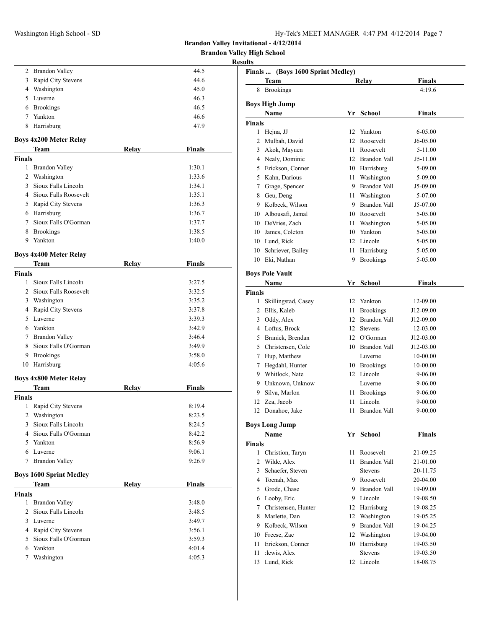Washington High School - SD H

| Hy-Tek's MEET MANAGER 4:47 PM 4/12/2014 Page 7 |  |  |  |
|------------------------------------------------|--|--|--|
|------------------------------------------------|--|--|--|

**Brandon Valley Invitational - 4/12/2014**

**Brandon Valley High School**

| <b>Results</b> |
|----------------|
|----------------|

|                |                                            |       |                  | R |
|----------------|--------------------------------------------|-------|------------------|---|
|                | 2 Brandon Valley                           |       | 44.5             |   |
|                | 3 Rapid City Stevens                       |       | 44.6             |   |
|                | 4 Washington                               |       | 45.0             |   |
|                | 5 Luverne                                  |       | 46.3             |   |
|                | 6 Brookings                                |       | 46.5             |   |
|                | 7 Yankton                                  |       | 46.6             |   |
| 8              | Harrisburg                                 |       | 47.9             |   |
|                | <b>Boys 4x200 Meter Relay</b>              |       |                  |   |
|                | Team                                       | Relay | <b>Finals</b>    |   |
| Finals         |                                            |       |                  |   |
|                | 1 Brandon Valley                           |       | 1:30.1           |   |
|                | 2 Washington                               |       | 1:33.6           |   |
|                | 3 Sioux Falls Lincoln                      |       | 1:34.1           |   |
|                | 4 Sioux Falls Roosevelt                    |       | 1:35.1           |   |
|                | 5 Rapid City Stevens                       |       | 1:36.3           |   |
|                | 6 Harrisburg                               |       | 1:36.7           |   |
|                | 7 Sioux Falls O'Gorman                     |       | 1:37.7           |   |
|                | 8 Brookings                                |       | 1:38.5           |   |
|                | 9 Yankton                                  |       | 1:40.0           |   |
|                | <b>Boys 4x400 Meter Relay</b>              |       |                  |   |
|                | Team                                       | Relay | <b>Finals</b>    |   |
| <b>Finals</b>  |                                            |       |                  |   |
|                | 1 Sioux Falls Lincoln                      |       | 3:27.5           |   |
|                | 2 Sioux Falls Roosevelt                    |       | 3:32.5           |   |
|                | 3 Washington                               |       | 3:35.2           |   |
|                | 4 Rapid City Stevens                       |       | 3:37.8           |   |
|                | 5 Luverne                                  |       | 3:39.3           |   |
|                | 6 Yankton                                  |       | 3:42.9           |   |
|                | 7 Brandon Valley<br>8 Sioux Falls O'Gorman |       | 3:46.4           |   |
|                | 9 Brookings                                |       | 3:49.9<br>3:58.0 |   |
|                | 10 Harrisburg                              |       | 4:05.6           |   |
|                |                                            |       |                  |   |
|                | <b>Boys 4x800 Meter Relay</b>              |       |                  |   |
|                | Team                                       | Relay | <b>Finals</b>    |   |
| Finals<br>1    | Rapid City Stevens                         |       | 8:19.4           |   |
| 2              | Washington                                 |       | 8:23.5           |   |
| $\overline{3}$ | Sioux Falls Lincoln                        |       | 8:24.5           |   |
|                | 4 Sioux Falls O'Gorman                     |       | 8:42.2           |   |
|                | 5 Yankton                                  |       | 8:56.9           |   |
|                | 6 Luverne                                  |       | 9:06.1           |   |
| $7^{\circ}$    | <b>Brandon Valley</b>                      |       | 9:26.9           |   |
|                |                                            |       |                  |   |
|                | <b>Boys 1600 Sprint Medley</b><br>Team     | Relay | <b>Finals</b>    |   |
| <b>Finals</b>  |                                            |       |                  |   |
|                | 1 Brandon Valley                           |       | 3:48.0           |   |
| $\overline{2}$ | Sioux Falls Lincoln                        |       | 3:48.5           |   |
|                | 3 Luverne                                  |       | 3:49.7           |   |
|                | 4 Rapid City Stevens                       |       | 3:56.1           |   |
|                | 5 Sioux Falls O'Gorman                     |       | 3:59.3           |   |
|                | 6 Yankton                                  |       | 4:01.4           |   |
| 7              | Washington                                 |       | 4:05.3           |   |
|                |                                            |       |                  |   |

|               | Finals  (Boys 1600 Sprint Medley)<br>Team | Relay           |                     | Finals        |
|---------------|-------------------------------------------|-----------------|---------------------|---------------|
|               | 8 Brookings                               |                 |                     | 4:19.6        |
|               |                                           |                 |                     |               |
|               | <b>Boys High Jump</b><br>Name             |                 | Yr School           | <b>Finals</b> |
| <b>Finals</b> |                                           |                 |                     |               |
|               | 1 Hejna, JJ                               | 12              | Yankton             | 6-05.00       |
|               | 2 Mulbah, David                           | 12 <sup>2</sup> | Roosevelt           | $J6-05.00$    |
|               | 3 Akok, Mayuen                            | 11 -            | Roosevelt           | 5-11.00       |
|               | 4 Nealy, Dominic                          |                 | 12 Brandon Vall     | J5-11.00      |
|               | 5 Erickson, Conner                        |                 | 10 Harrisburg       | 5-09.00       |
|               | 5 Kahn. Darious                           |                 | 11 Washington       | 5-09.00       |
|               | 7 Grage, Spencer                          |                 | 9 Brandon Vall      | J5-09.00      |
|               | 8 Geu, Deng                               |                 | 11 Washington       | 5-07.00       |
|               | 9 Kolbeck, Wilson                         |                 | 9 Brandon Vall      | J5-07.00      |
|               | 10 Albousafi, Jamal                       |                 | 10 Roosevelt        | 5-05.00       |
|               | 10 DeVries, Zach                          |                 | 11 Washington       | 5-05.00       |
|               | 10 James, Coleton                         |                 | 10 Yankton          | 5-05.00       |
|               | 10 Lund, Rick                             |                 | 12 Lincoln          | 5-05.00       |
|               | 10 Schriever, Bailey                      | 11              | Harrisburg          | 5-05.00       |
| 10            | Eki, Nathan                               | 9               | <b>Brookings</b>    | 5-05.00       |
|               |                                           |                 |                     |               |
|               | <b>Boys Pole Vault</b>                    |                 |                     |               |
|               | Name                                      |                 | Yr School           | <b>Finals</b> |
| <b>Finals</b> |                                           |                 |                     |               |
|               | 1 Skillingstad, Casey                     |                 | 12 Yankton          | 12-09.00      |
|               | 2 Ellis, Kaleb                            |                 | 11 Brookings        | J12-09.00     |
|               | 3 Oddy, Alex                              |                 | 12 Brandon Vall     | J12-09.00     |
|               | 4 Loftus, Brock                           |                 | 12 Stevens          | 12-03.00      |
|               | 5 Branick, Brendan                        |                 | 12 O'Gorman         | J12-03.00     |
|               | 5 Christensen, Cole                       |                 | 10 Brandon Vall     | J12-03.00     |
|               | 7 Hup, Matthew                            |                 | Luverne             | 10-00.00      |
|               | 7 Hegdahl, Hunter                         |                 | 10 Brookings        | 10-00.00      |
|               | 9 Whitlock, Nate                          |                 | 12 Lincoln          | 9-06.00       |
|               | 9 Unknown, Unknow                         |                 | Luverne             | 9-06.00       |
|               | 9 Silva, Marlon                           | 11 -            | <b>Brookings</b>    | 9-06.00       |
|               | 12 Zea, Jacob                             | 11              | Lincoln             | $9 - 00.00$   |
|               | 12 Donahoe, Jake                          | 11              | <b>Brandon Vall</b> | $9 - 00.00$   |
|               | <b>Boys Long Jump</b>                     |                 |                     |               |
|               | Name                                      |                 | Yr School           | <b>Finals</b> |
| <b>Finals</b> |                                           |                 |                     |               |
|               | 1 Christion, Taryn                        | 11              | Roosevelt           | 21-09.25      |
| 2             | Wilde, Alex                               | 11              | <b>Brandon Vall</b> | 21-01.00      |
| $\mathbf{3}$  | Schaefer, Steven                          |                 | Stevens             | 20-11.75      |
|               | 4 Toenah, Max                             |                 | 9 Roosevelt         | 20-04.00      |
| 5             | Grode, Chase                              |                 | 9 Brandon Vall      | 19-09.00      |
| 6             | Looby, Eric                               |                 | 9 Lincoln           | 19-08.50      |
| 7             | Christensen, Hunter                       | 12              | Harrisburg          | 19-08.25      |
| 8             | Marlette, Dan                             | 12              | Washington          | 19-05.25      |
|               | 9 Kolbeck, Wilson                         | 9               | <b>Brandon Vall</b> | 19-04.25      |
|               | 10 Freese, Zac                            |                 | 12 Washington       | 19-04.00      |
| 11            | Erickson, Conner                          | 10              | Harrisburg          | 19-03.50      |
| 11            | :lewis, Alex                              |                 | Stevens             | 19-03.50      |
| 13            | Lund, Rick                                |                 | 12 Lincoln          | 18-08.75      |
|               |                                           |                 |                     |               |